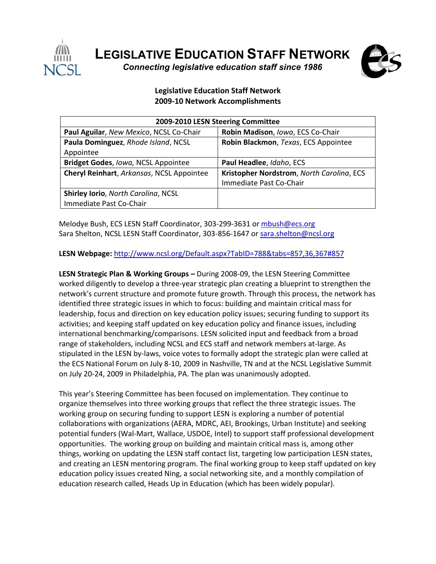

**LEGISLATIVE EDUCATION STAFF NETWORK** *Connecting legislative education staff since 1986* 



## **Legislative Education Staff Network 2009‐10 Network Accomplishments**

| 2009-2010 LESN Steering Committee         |                                           |
|-------------------------------------------|-------------------------------------------|
| Paul Aguilar, New Mexico, NCSL Co-Chair   | Robin Madison, Iowa, ECS Co-Chair         |
| Paula Dominguez, Rhode Island, NCSL       | Robin Blackmon, Texas, ECS Appointee      |
| Appointee                                 |                                           |
| Bridget Godes, Iowa, NCSL Appointee       | Paul Headlee, Idaho, ECS                  |
| Cheryl Reinhart, Arkansas, NCSL Appointee | Kristopher Nordstrom, North Carolina, ECS |
|                                           | Immediate Past Co-Chair                   |
| Shirley Iorio, North Carolina, NCSL       |                                           |
| Immediate Past Co-Chair                   |                                           |

Melodye Bush, ECS LESN Staff Coordinator, 303‐299‐3631 or mbush@ecs.org Sara Shelton, NCSL LESN Staff Coordinator, 303-856-1647 or sara.shelton@ncsl.org

## **LESN Webpage:** http://www.ncsl.org/Default.aspx?TabID=788&tabs=857,36,367#857

**LESN Strategic Plan & Working Groups –** During 2008‐09, the LESN Steering Committee worked diligently to develop a three‐year strategic plan creating a blueprint to strengthen the network's current structure and promote future growth. Through this process, the network has identified three strategic issues in which to focus: building and maintain critical mass for leadership, focus and direction on key education policy issues; securing funding to support its activities; and keeping staff updated on key education policy and finance issues, including international benchmarking/comparisons. LESN solicited input and feedback from a broad range of stakeholders, including NCSL and ECS staff and network members at-large. As stipulated in the LESN by‐laws, voice votes to formally adopt the strategic plan were called at the ECS National Forum on July 8‐10, 2009 in Nashville, TN and at the NCSL Legislative Summit on July 20‐24, 2009 in Philadelphia, PA. The plan was unanimously adopted.

This year's Steering Committee has been focused on implementation. They continue to organize themselves into three working groups that reflect the three strategic issues. The working group on securing funding to support LESN is exploring a number of potential collaborations with organizations (AERA, MDRC, AEI, Brookings, Urban Institute) and seeking potential funders (Wal‐Mart, Wallace, USDOE, Intel) to support staff professional development opportunities. The working group on building and maintain critical mass is, among other things, working on updating the LESN staff contact list, targeting low participation LESN states, and creating an LESN mentoring program. The final working group to keep staff updated on key education policy issues created Ning, a social networking site, and a monthly compilation of education research called, Heads Up in Education (which has been widely popular).